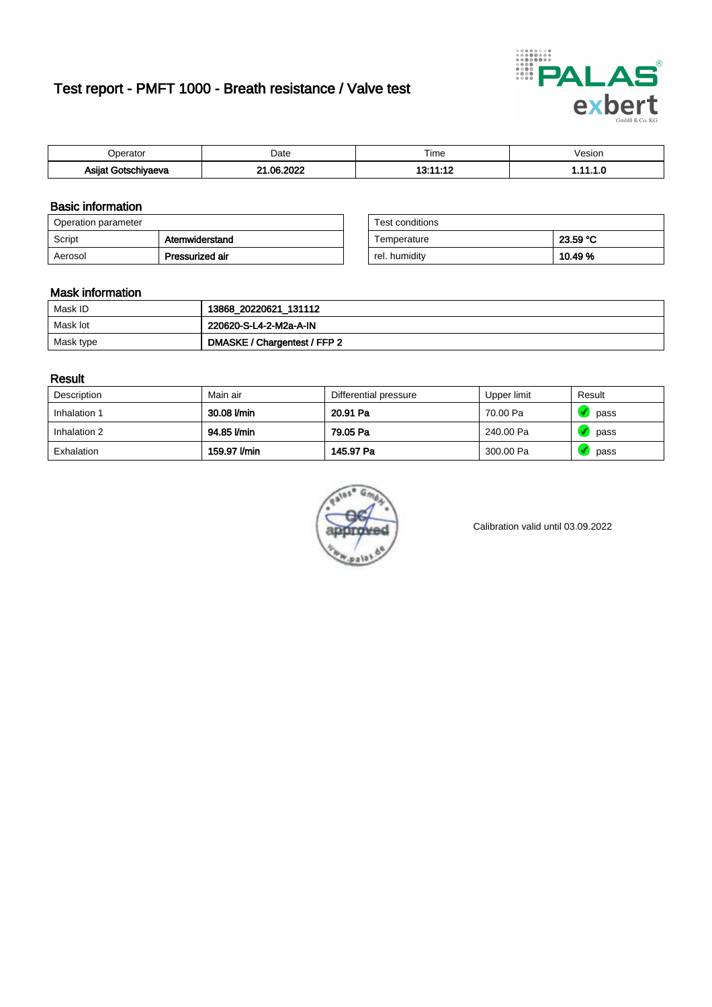# Test report - PMFT 1000 - Breath resistance / Valve test



| )perator            | Date               | $- \cdot$<br>Гіmе | /esion |
|---------------------|--------------------|-------------------|--------|
| Asijat Gotschiyaeva | ക ാറാ<br>ົ<br>'UZ. | ,,,,,,,           | . ប    |

### Basic information

| Operation parameter |                 | Test conditions |          |
|---------------------|-----------------|-----------------|----------|
| Script              | Atemwiderstand  | Temperature     | 23.59 °C |
| Aerosol             | Pressurized air | rel. humiditv   | 10.49%   |

| Test conditions |          |
|-----------------|----------|
| Temperature     | 23.59 °C |
| rel. humidity   | 10.49%   |

#### Mask information

| Mask ID   | 13868_20220621_131112        |
|-----------|------------------------------|
| Mask lot  | 220620-S-L4-2-M2a-A-IN       |
| Mask type | DMASKE / Chargentest / FFP 2 |

### Result

| Description  | Main air     | Differential pressure | Upper limit | Result |
|--------------|--------------|-----------------------|-------------|--------|
| Inhalation 1 | 30.08 l/min  | 20.91 Pa              | 70.00 Pa    | pass   |
| Inhalation 2 | 94.85 l/min  | 79.05 Pa              | 240.00 Pa   | pass   |
| Exhalation   | 159.97 l/min | 145.97 Pa             | 300.00 Pa   | pass   |



Calibration valid until 03.09.2022